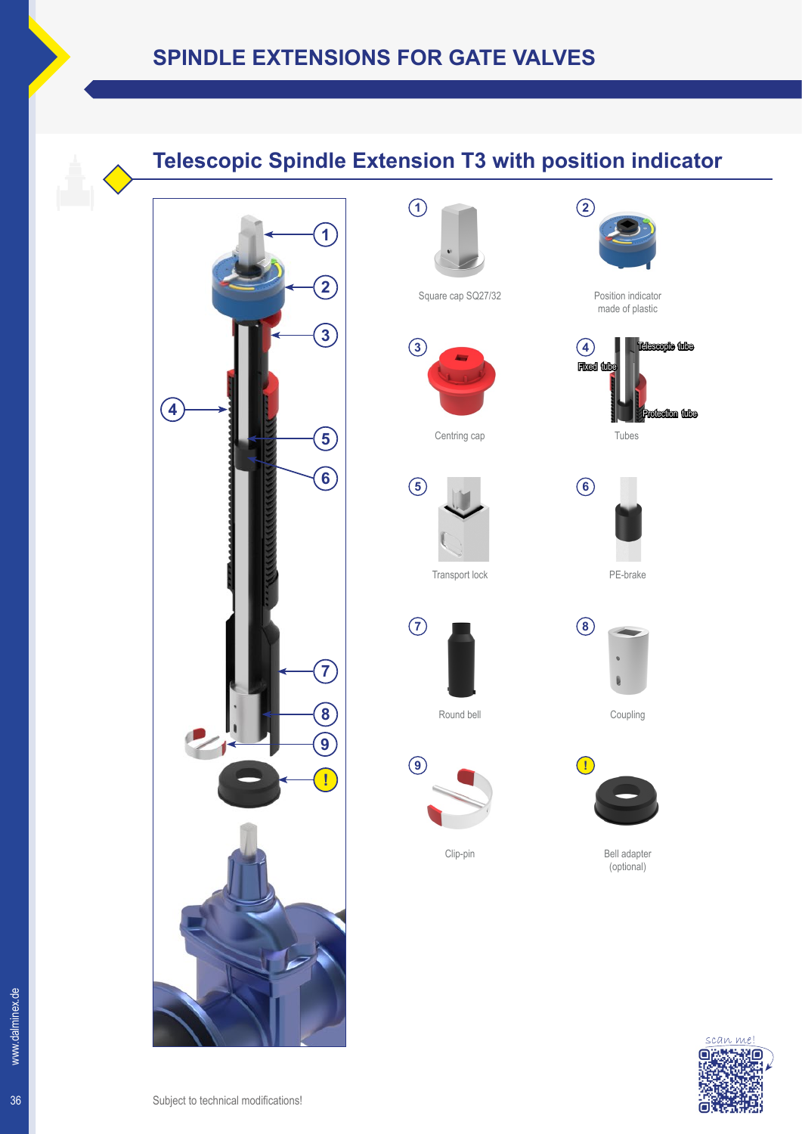## **Telescopic Spindle Extension T3 with position indicator**











**5**

**7**

**9**

Transport lock

Round bell



Tubes







**!**



Clip-pin

Bell adapter

(optional)

Coupling